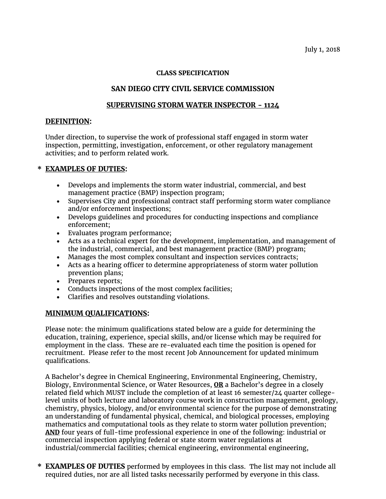### **CLASS SPECIFICATION**

# **SAN DIEGO CITY CIVIL SERVICE COMMISSION**

### **SUPERVISING STORM WATER INSPECTOR - 1124**

### **DEFINITION:**

Under direction, to supervise the work of professional staff engaged in storm water inspection, permitting, investigation, enforcement, or other regulatory management activities; and to perform related work.

# **\* EXAMPLES OF DUTIES:**

- Develops and implements the storm water industrial, commercial, and best management practice (BMP) inspection program;
- Supervises City and professional contract staff performing storm water compliance and/or enforcement inspections;
- Develops guidelines and procedures for conducting inspections and compliance enforcement;
- Evaluates program performance;
- Acts as a technical expert for the development, implementation, and management of the industrial, commercial, and best management practice (BMP) program;
- Manages the most complex consultant and inspection services contracts;
- Acts as a hearing officer to determine appropriateness of storm water pollution prevention plans;
- Prepares reports;
- Conducts inspections of the most complex facilities;
- Clarifies and resolves outstanding violations.

#### **MINIMUM QUALIFICATIONS:**

Please note: the minimum qualifications stated below are a guide for determining the education, training, experience, special skills, and/or license which may be required for employment in the class. These are re-evaluated each time the position is opened for recruitment. Please refer to the most recent Job Announcement for updated minimum qualifications.

A Bachelor's degree in Chemical Engineering, Environmental Engineering, Chemistry, Biology, Environmental Science, or Water Resources, **OR** a Bachelor's degree in a closely related field which MUST include the completion of at least 16 semester/24 quarter collegelevel units of both lecture and laboratory course work in construction management, geology, chemistry, physics, biology, and/or environmental science for the purpose of demonstrating an understanding of fundamental physical, chemical, and biological processes, employing mathematics and computational tools as they relate to storm water pollution prevention; **AND** four years of full-time professional experience in one of the following: industrial or commercial inspection applying federal or state storm water regulations at industrial/commercial facilities; chemical engineering, environmental engineering,

**\* EXAMPLES OF DUTIES** performed by employees in this class. The list may not include all required duties, nor are all listed tasks necessarily performed by everyone in this class.